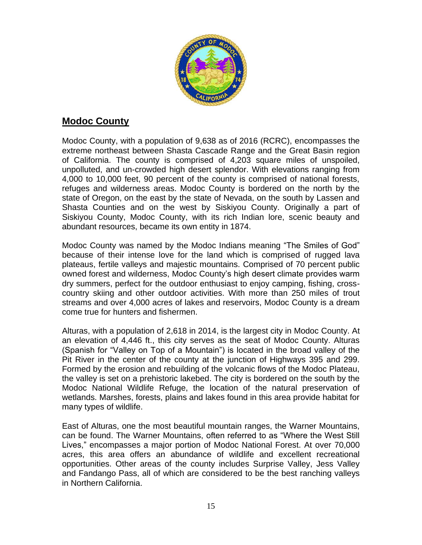

# **Modoc County**

Modoc County, with a population of 9,638 as of 2016 (RCRC), encompasses the extreme northeast between Shasta Cascade Range and the Great Basin region of California. The county is comprised of 4,203 square miles of unspoiled, unpolluted, and un-crowded high desert splendor. With elevations ranging from 4,000 to 10,000 feet, 90 percent of the county is comprised of national forests, refuges and wilderness areas. Modoc County is bordered on the north by the state of Oregon, on the east by the state of Nevada, on the south by Lassen and Shasta Counties and on the west by Siskiyou County. Originally a part of Siskiyou County, Modoc County, with its rich Indian lore, scenic beauty and abundant resources, became its own entity in 1874.

Modoc County was named by the Modoc Indians meaning "The Smiles of God" because of their intense love for the land which is comprised of rugged lava plateaus, fertile valleys and majestic mountains. Comprised of 70 percent public owned forest and wilderness, Modoc County's high desert climate provides warm dry summers, perfect for the outdoor enthusiast to enjoy camping, fishing, crosscountry skiing and other outdoor activities. With more than 250 miles of trout streams and over 4,000 acres of lakes and reservoirs, Modoc County is a dream come true for hunters and fishermen.

Alturas, with a population of 2,618 in 2014, is the largest city in Modoc County. At an elevation of 4,446 ft., this city serves as the seat of Modoc County. Alturas (Spanish for "Valley on Top of a Mountain") is located in the broad valley of the Pit River in the center of the county at the junction of Highways 395 and 299. Formed by the erosion and rebuilding of the volcanic flows of the Modoc Plateau, the valley is set on a prehistoric lakebed. The city is bordered on the south by the Modoc National Wildlife Refuge, the location of the natural preservation of wetlands. Marshes, forests, plains and lakes found in this area provide habitat for many types of wildlife.

East of Alturas, one the most beautiful mountain ranges, the Warner Mountains, can be found. The Warner Mountains, often referred to as "Where the West Still Lives," encompasses a major portion of Modoc National Forest. At over 70,000 acres, this area offers an abundance of wildlife and excellent recreational opportunities. Other areas of the county includes Surprise Valley, Jess Valley and Fandango Pass, all of which are considered to be the best ranching valleys in Northern California.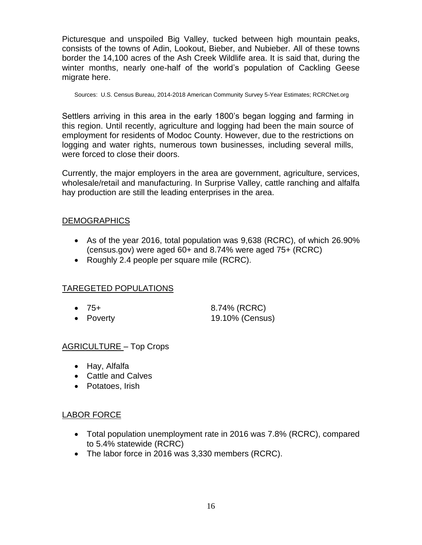Picturesque and unspoiled Big Valley, tucked between high mountain peaks, consists of the towns of Adin, Lookout, Bieber, and Nubieber. All of these towns border the 14,100 acres of the Ash Creek Wildlife area. It is said that, during the winter months, nearly one-half of the world's population of Cackling Geese migrate here.

Sources: U.S. Census Bureau, 2014-2018 American Community Survey 5-Year Estimates; RCRCNet.org

Settlers arriving in this area in the early 1800's began logging and farming in this region. Until recently, agriculture and logging had been the main source of employment for residents of Modoc County. However, due to the restrictions on logging and water rights, numerous town businesses, including several mills, were forced to close their doors.

Currently, the major employers in the area are government, agriculture, services, wholesale/retail and manufacturing. In Surprise Valley, cattle ranching and alfalfa hay production are still the leading enterprises in the area.

## DEMOGRAPHICS

- As of the year 2016, total population was 9,638 (RCRC), of which 26.90% (census.gov) were aged 60+ and 8.74% were aged 75+ (RCRC)
- Roughly 2.4 people per square mile (RCRC).

## TAREGETED POPULATIONS

- 75+ 8.74% (RCRC)
- Poverty 19.10% (Census)

#### AGRICULTURE – Top Crops

- Hay, Alfalfa
- Cattle and Calves
- Potatoes, Irish

## LABOR FORCE

- Total population unemployment rate in 2016 was 7.8% (RCRC), compared to 5.4% statewide (RCRC)
- The labor force in 2016 was 3,330 members (RCRC).